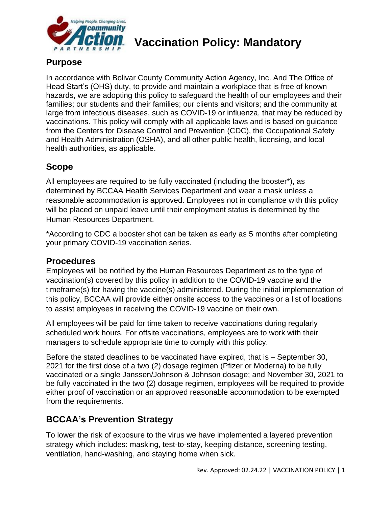

# **Vaccination Policy: Mandatory**

### **Purpose**

In accordance with Bolivar County Community Action Agency, Inc. And The Office of Head Start's (OHS) duty, to provide and maintain a workplace that is free of known hazards, we are adopting this policy to safeguard the health of our employees and their families; our students and their families; our clients and visitors; and the community at large from infectious diseases, such as COVID-19 or influenza, that may be reduced by vaccinations. This policy will comply with all applicable laws and is based on guidance from the Centers for Disease Control and Prevention (CDC), the Occupational Safety and Health Administration (OSHA), and all other public health, licensing, and local health authorities, as applicable.

## **Scope**

All employees are required to be fully vaccinated (including the booster\*), as determined by BCCAA Health Services Department and wear a mask unless a reasonable accommodation is approved. Employees not in compliance with this policy will be placed on unpaid leave until their employment status is determined by the Human Resources Department.

\*According to CDC a booster shot can be taken as early as 5 months after completing your primary COVID-19 vaccination series.

#### **Procedures**

Employees will be notified by the Human Resources Department as to the type of vaccination(s) covered by this policy in addition to the COVID-19 vaccine and the timeframe(s) for having the vaccine(s) administered. During the initial implementation of this policy, BCCAA will provide either onsite access to the vaccines or a list of locations to assist employees in receiving the COVID-19 vaccine on their own.

All employees will be paid for time taken to receive vaccinations during regularly scheduled work hours. For offsite vaccinations, employees are to work with their managers to schedule appropriate time to comply with this policy.

Before the stated deadlines to be vaccinated have expired, that is – September 30, 2021 for the first dose of a two (2) dosage regimen (Pfizer or Moderna) to be fully vaccinated or a single Janssen/Johnson & Johnson dosage; and November 30, 2021 to be fully vaccinated in the two (2) dosage regimen, employees will be required to provide either proof of vaccination or an approved reasonable accommodation to be exempted from the requirements.

# **BCCAA's Prevention Strategy**

To lower the risk of exposure to the virus we have implemented a layered prevention strategy which includes: masking, test-to-stay, keeping distance, screening testing, ventilation, hand-washing, and staying home when sick.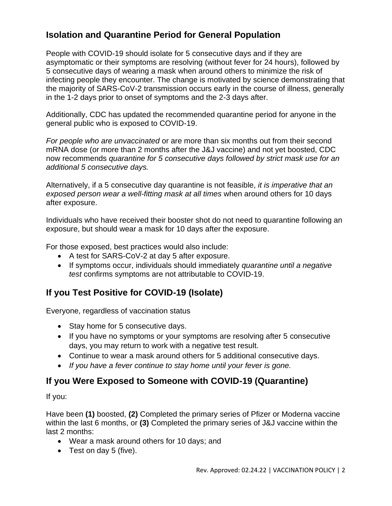## **Isolation and Quarantine Period for General Population**

People with COVID-19 should isolate for 5 consecutive days and if they are asymptomatic or their symptoms are resolving (without fever for 24 hours), followed by 5 consecutive days of wearing a mask when around others to minimize the risk of infecting people they encounter. The change is motivated by science demonstrating that the majority of SARS-CoV-2 transmission occurs early in the course of illness, generally in the 1-2 days prior to onset of symptoms and the 2-3 days after.

Additionally, CDC has updated the recommended quarantine period for anyone in the general public who is exposed to COVID-19.

*For people who are unvaccinated* or are more than six months out from their second mRNA dose (or more than 2 months after the J&J vaccine) and not yet boosted, CDC now recommends *quarantine for 5 consecutive days followed by strict mask use for an additional 5 consecutive days.* 

Alternatively, if a 5 consecutive day quarantine is not feasible, *it is imperative that an exposed person wear a well-fitting mask at all times* when around others for 10 days after exposure.

Individuals who have received their booster shot do not need to quarantine following an exposure, but should wear a mask for 10 days after the exposure.

For those exposed, best practices would also include:

- A test for SARS-CoV-2 at day 5 after exposure.
- If symptoms occur, individuals should immediately *quarantine until a negative test* confirms symptoms are not attributable to COVID-19.

# **If you Test Positive for COVID-19 (Isolate)**

Everyone, regardless of vaccination status

- Stay home for 5 consecutive days.
- If you have no symptoms or your symptoms are resolving after 5 consecutive days, you may return to work with a negative test result.
- Continue to wear a mask around others for 5 additional consecutive days.
- *If you have a fever continue to stay home until your fever is gone.*

#### **If you Were Exposed to Someone with COVID-19 (Quarantine)**

If you:

Have been **(1)** boosted, **(2)** Completed the primary series of Pfizer or Moderna vaccine within the last 6 months, or **(3)** Completed the primary series of J&J vaccine within the last 2 months:

- Wear a mask around others for 10 days; and
- Test on day 5 (five).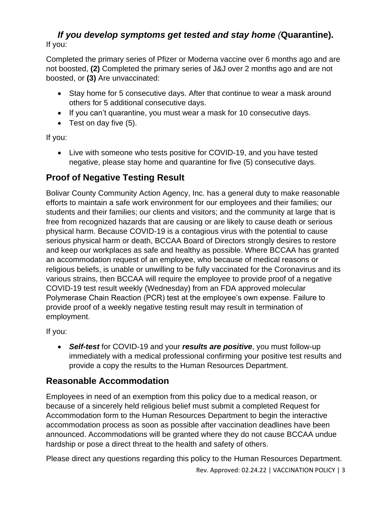#### *If you develop symptoms get tested and stay home (***Quarantine).** If you:

Completed the primary series of Pfizer or Moderna vaccine over 6 months ago and are not boosted, **(2)** Completed the primary series of J&J over 2 months ago and are not boosted, or **(3)** Are unvaccinated:

- Stay home for 5 consecutive days. After that continue to wear a mask around others for 5 additional consecutive days.
- If you can't quarantine, you must wear a mask for 10 consecutive days.
- Test on day five (5).

If you:

• Live with someone who tests positive for COVID-19, and you have tested negative, please stay home and quarantine for five (5) consecutive days.

## **Proof of Negative Testing Result**

Bolivar County Community Action Agency, Inc. has a general duty to make reasonable efforts to maintain a safe work environment for our employees and their families; our students and their families; our clients and visitors; and the community at large that is free from recognized hazards that are causing or are likely to cause death or serious physical harm. Because COVID-19 is a contagious virus with the potential to cause serious physical harm or death, BCCAA Board of Directors strongly desires to restore and keep our workplaces as safe and healthy as possible. Where BCCAA has granted an accommodation request of an employee, who because of medical reasons or religious beliefs, is unable or unwilling to be fully vaccinated for the Coronavirus and its various strains, then BCCAA will require the employee to provide proof of a negative COVID-19 test result weekly (Wednesday) from an FDA approved molecular Polymerase Chain Reaction (PCR) test at the employee's own expense. Failure to provide proof of a weekly negative testing result may result in termination of employment.

If you:

• *Self-test* for COVID-19 and your *results are positive*, you must follow-up immediately with a medical professional confirming your positive test results and provide a copy the results to the Human Resources Department.

#### **Reasonable Accommodation**

Employees in need of an exemption from this policy due to a medical reason, or because of a sincerely held religious belief must submit a completed Request for Accommodation form to the Human Resources Department to begin the interactive accommodation process as soon as possible after vaccination deadlines have been announced. Accommodations will be granted where they do not cause BCCAA undue hardship or pose a direct threat to the health and safety of others.

Please direct any questions regarding this policy to the Human Resources Department.